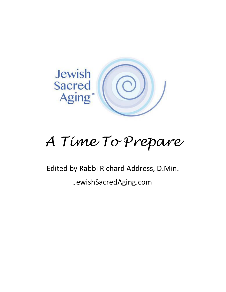

## Edited by Rabbi Richard Address, D.Min. JewishSacredAging.com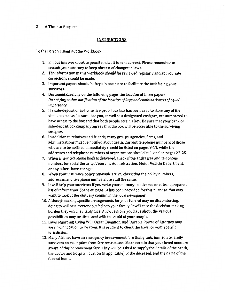#### $\overline{2}$ A Time to Prepare

#### **INSTRUCTIONS**

To the Person Filling Out the Workbook

- 1. Fill out this workbook in pencil so that it is kept current. Please remember to consult your attorney to keep abreast of changes in laws.
- 2. The information in this workbook should be reviewed regularly and appropriate corrections should be made.
- 3. Important papers should be kept in one place to facilitate the task facing your survivors.
- 4. Document carefully on the following pages the location of those papers. Do not forget that notification of the location of keys and combinations is of equal *importance.*
- 5. If a safe-deposit or at-home fire-proof lock box has been used to store any of the vital documents, be sure that you, as well as a designated cosigner, are authorized to have access to the box and that both people retain a key. Be sure that your bank or safe-deposit box company agrees that the box will be accessible to the surviving cosigner.
- 6. In addition to relatives and friends, many groups, agencies, firms, and administrations must be notified about death. Current telephone numbers of those who are to be notified immediately should be listed on pages 8-11, while the addresses and telephone numbers of organizations should be listed on pages 22-25.
- 7. When a new telephone book is delivered, check if the addresses and telephone numbers for Social Security, Veteran's Administration, Motor Vehicle Department, or any others have changed.
- 8. When your insurance policy renewals arrive, check that the policy numbers, addresses, and telephone numbers are stull the same.
- 9. It will help your survivors if you write your obituary in advance or at least prepare a list of information. Space on page 14 has been provided for this purpose. You may want to look at the obituary column in the local newspaper.
- 10. Although making specific arrangements for your funeral may ne discomforting, doing to will be a tremendous help to your family. It will ease the decision-making burden they will inevitably face. Any questions you have about the various possibilities may be discussed with the rabbi of your temple.
- 11. Laws regarding Living Will, Organ Donation, and Durable Power of Attorney may vary from location to location. It is prudent to check the laws for your specific jurisdiction.
- 12. Many Airlines have an emergency bereavement fare that grants immediate family survivors an exemption from fare restrictions. Make certain that your loved ones are aware of this bereavement fare. They will be asked to supply the details of the death, the doctor and hospital location (if applicable) of the deceased, and the name of the funeral home.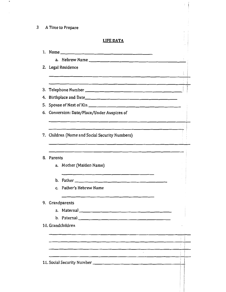A Time to Prepare  $\overline{\mathbf{3}}$ 

 $\bullet$ 

**LIFE DATA** 

 $\mathbf{i}$  $\hat{\mathbf{r}}$ 

|    | a.      |                                                                 |  |
|----|---------|-----------------------------------------------------------------|--|
|    |         | 2. Legal Residence                                              |  |
|    |         |                                                                 |  |
|    |         |                                                                 |  |
| 3. |         |                                                                 |  |
| 4. |         |                                                                 |  |
| 5. |         |                                                                 |  |
|    |         | 6. Conversion: Date/Place/Under Auspices of                     |  |
|    |         |                                                                 |  |
|    |         |                                                                 |  |
| 7. |         | Children (Name and Social Security Numbers)                     |  |
|    |         |                                                                 |  |
|    |         |                                                                 |  |
| 8. | Parents |                                                                 |  |
|    | a.      | Mother (Maiden Name)                                            |  |
|    | b.      | the control of the control of the control of the control of the |  |
|    | C.      | Father's Hebrew Name                                            |  |
|    |         |                                                                 |  |
|    |         | 9. Grandparents                                                 |  |
|    | a.      | Maternal                                                        |  |
|    |         | b. Paternal $\qquad \qquad$                                     |  |
|    |         | 10. Grandchildren                                               |  |
|    |         |                                                                 |  |
|    |         |                                                                 |  |
|    |         |                                                                 |  |
|    |         |                                                                 |  |
|    |         |                                                                 |  |
|    |         |                                                                 |  |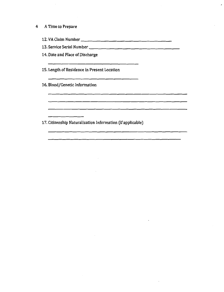#### A Time to Prepare  $\overline{4}$

 $\epsilon$ 

14. Date and Place of Discharge

15. Length of Residence in Present Location

16. Blood/Genetic Information

17. Citizenship Naturalization Information (if applicable)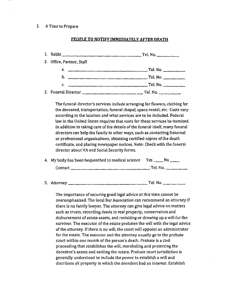#### PEOPLE TO NOTIFY IMMEDIATELY AFTER DEATH

| 2. Office, Partner, Staff |                                                  |
|---------------------------|--------------------------------------------------|
|                           | a. $\frac{1}{2}$ Tel. No. $\frac{1}{2}$ Tel. No. |
|                           |                                                  |
| c.                        | $T$ el. No. $T$                                  |
|                           |                                                  |

The funeral director's services include arranging for flowers, clothing for the deceased, transportation, funeral chapel, space rental, etc. Costs vary according to the location and what services are to be included. Federal law in the United States requires that costs for these services be itemized. In addition to taking care of the details of the funeral itself, many funeral directors can help the family in other ways, such as contacting fraternal or professional organizations, obtaining certified copies of the death certificate, and placing newspaper notices. Note: Check with the funeral director about VA and Social Security forms.

| 4. My body has been bequeathed to medical science Yes _____ No _____ |          |
|----------------------------------------------------------------------|----------|
| Contact                                                              | Tel. No. |

5. Attorney

The importance of securing good legal advice at this time cannot be overemphasized. The local Bar Association can recommend an attorney if there is no family lawyer. The attorney can give legal advice on matters such as trusts, recording deeds to real property, conservation and disbursement of estate assets, and revisiting or drawing up a will for the survivor. The executor of the estate probates the will with the legal advice of the attorney. If there is no will, the court will appoint an administrator for the estate. The executor and the attorney usually go to the probate court within one month of the person's death. Probate is a civil proceeding that establishes the will, marshaling and protecting the decedent's assets and settling the estate. Probate court jurisdiction is generally understood to include the power to establish a will and distribute all property in which the decedent had an interest. Establish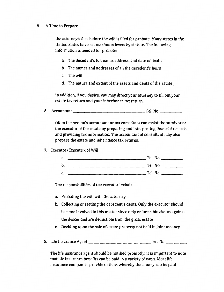the attorney's fees before the will is filed for probate. Many states in the United States have set maximum levels by statute. The following information is needed for probate:

- a. The decedent's full name, address, and date of death
- b. The names and addresses of all the decedent's heirs
- c. The will
- d. The nature and extent of the assets and debts of the estate

In addition, if you desire, you may direct your attorney to fill out your estate tax return and your inheritance tax return.

Often the person's accountant or tax consultant can assist the survivor or the executor of the estate by preparing and interpreting financial records and providing tax information. The accountant of consultant may also prepare the estate and inheritance tax returns.

7. Executor/Executrix of Will

| а. |                                                                                                                                                                                                                                      |                                 |
|----|--------------------------------------------------------------------------------------------------------------------------------------------------------------------------------------------------------------------------------------|---------------------------------|
| b. |                                                                                                                                                                                                                                      |                                 |
| C. | <u> 1980 - Johann Harry Harry Harry Harry Harry Harry Harry Harry Harry Harry Harry Harry Harry Harry Harry Harry Harry Harry Harry Harry Harry Harry Harry Harry Harry Harry Harry Harry Harry Harry Harry Harry Harry Harry Ha</u> | __________ Tel. No. ___________ |

The responsibilities of the executor include:

- a. Probating the will with the attorney
- b. Collecting or settling the decedent's debts. Only the executor should become involved in this matter since only enforceable claims against the descended are deductible from the gross estate
- c. Deciding upon the sale of estate property not held in joint tenancy
- 8. Life Insurance Agent \_\_ \_ \_ \_ \_ \_ \_ \_ \_ \_ \_ \_ \_ \_ \_ Tel. No. \_ \_ \_ \_ \_ \_ \_ \_

The life insurance agent should be notified promptly. It is important to note that life insurance benefits can be paid in a variety of ways. Most life insurance companies provide options whereby the money can be paid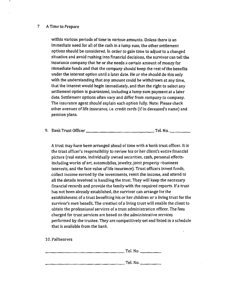#### $\overline{7}$ A Time to Prepare

within various periods of time in various amounts. Unless there is an immediate need for all of the cash in a lump sum, the other settlement options should be considered. In order to gain time to adjust to a changed situation and avoid rushing into financial decisions, the survivor can tell the insurance company that he or she needs a certain amount of money for immediate funds and that the company should keep the rest of the benefits under the interest option until a later date. He or she should do this only with the understanding that any amount could be withdrawn at any time, that the interest would begin immediately, and that the right to select any settlement option is guaranteed, including a lump sum payment at a later date. Settlement options often vary and differ from company to company. The insurance agent should explain each option fully. Note: Please check other avenues of life insurance, i.e. credit cards (if in deceased's name) and pension plans.

|  | 9. Bank Trust Officer | Tel. No. |
|--|-----------------------|----------|
|--|-----------------------|----------|

A trust may have been arranged ahead of time with a bank trust officer. It is the trust officer's responsibility to review his or her client's entire financial picture (real estate, individually owned securities, cash, personal effectsincluding works of art, automobiles, jewelry, joint property -business interests, and the face value of life insurance). Trust officers invest funds, collect income earned by the investments, remit the income, and attend to all the details involved in handling the trust. They will keep the necessary financial records and provide the family with the required reports. If a trust has not been already established, the survivor can arrange for the establishment of a trust benefiting his or her children or a living trust for the survivor's own benefit. The creation of a living trust will enable the client to obtain the professional services of a trust administration officer. The fees charged for trust services are based on the administrative services performed by the trustee. They are competitively set and listed in a schedule that is available from the bank.

10. Pallbearers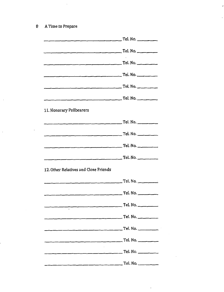| 11. Honorary Pallbearers              |  |
|---------------------------------------|--|
|                                       |  |
|                                       |  |
|                                       |  |
|                                       |  |
| 12. Other Relatives and Close Friends |  |
|                                       |  |
|                                       |  |
|                                       |  |
|                                       |  |
|                                       |  |
|                                       |  |
|                                       |  |
|                                       |  |

 $\cdot$ 

 $\bf 8$ 

 $\ddot{\phantom{a}}$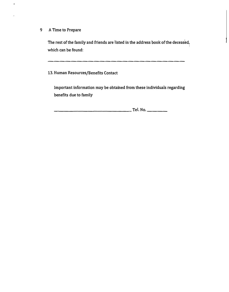$\bullet$ 

The rest of the family and friends are listed in the address book of the deceased,  $\frac{1}{2}$ which can be found:

\_\_\_\_\_\_\_\_\_\_\_\_\_\_\_\_\_\_\_\_\_\_\_\_\_\_\_

13. Human Resources/Benefits Contact

Important information may be obtained from these individuals regarding benefits due to family

\_\_\_\_\_\_\_\_\_\_\_\_\_\_\_\_ Tel. No. \_\_\_ \_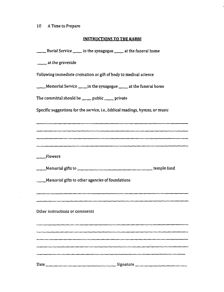## **INSTRUCTIONS TO THE RABBI**

| ____ Burial Service _____ in the synagogue _____ at the funeral home           |
|--------------------------------------------------------------------------------|
| _______ at the graveside                                                       |
| Following immediate cremation or gift of body to medical science               |
| Memorial Service ______ in the synagogue _____ at the funeral home             |
| The committal should be _____ public _____ private                             |
| Specific suggestions for the service, i.e., biblical readings, hymns, or music |
|                                                                                |
|                                                                                |
| Flowers <sub>-</sub>                                                           |
|                                                                                |
| ____Memorial gifts to other agencies of foundations                            |
|                                                                                |
| Other instructions or comments                                                 |
|                                                                                |
|                                                                                |
|                                                                                |
| Date                                                                           |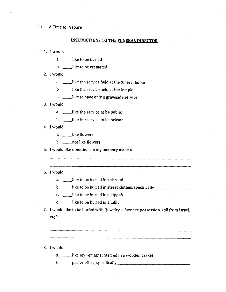#### **INSTRUCTIONS TO THE FUNERAL DIRECTOR**

- 1. I would
	- a. like to be buried
	- b. \_\_\_\_like to be cremated
- 2. I would
	- a. \_\_\_\_like the service held at the funeral home
	- b. \_\_\_\_\_like the service held at the temple
	- c. \_\_\_\_\_like to have only a graveside service

#### 3. I would

- a. \_\_\_\_like the service to be public
- b. \_\_\_\_\_like the service to be private
- 4. I would
	- a. \_\_\_\_like flowers
	- b. \_\_\_\_\_ not like flowers
- 5. I would like donations in my memory made to

#### 6. I would

- a. \_\_\_\_like to be buried in a shroud
- b. \_\_\_\_\_like to be buried in street clothes, specifically\_\_\_\_\_\_\_\_\_\_\_\_\_\_\_\_\_\_\_\_\_\_\_
- c. \_\_\_\_\_like to be buried in a kippah
- d. \_\_\_\_\_like to be buried in a tallit
- 7. I would like to be buried with (jewelry, a favorite possession, soil from Israel,  $etc.$ )

#### 8. I would

- a. \_\_\_\_like my remains interred in a wooden casket
-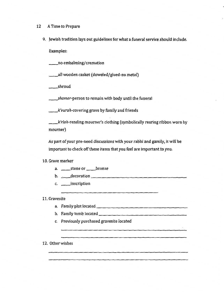9. Jewish tradition lays out guidelines for what a funeral service should include.

Examples:

no embalming/cremation

\_\_\_\_\_ all wooden casket (doweled/glued-no metal)

shroud

shomer-person to remain with body until the funeral

 $\frac{1}{2}$  *k'vurah-covering grave by family and friends* 

\_\_\_k'riah-rending mourner's clothing (symbolically rearing ribbon worn by mourner)

As part of your pre-need discussions with your rabbi and gamily, it will be important to check off these items that you feel are important to you.

10. Grave marker

- a. \_\_\_\_\_\_\_\_\_\_\_\_\_\_\_\_\_\_\_\_\_\_\_\_\_\_\_bronze
- 
- c. \_\_\_\_\_inscription

11. Gravesite

- 
- 
- c. Previously purchased gravesite located

12. Other wishes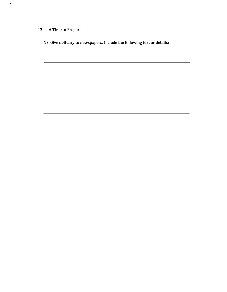$\hat{\phantom{a}}$ 

**13. Give obituary to newspapers. Include the following text or details:**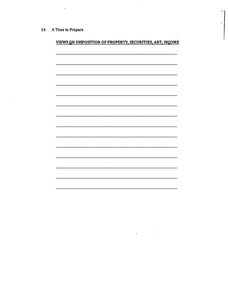$\hat{\beta}$ 

 $\omega$ 

## VIEWS ON DISPOSITION OF PROPERTY, SECURITIES, ART, INCOME

 $\sim$ 

 $\mathcal{L}_{\text{max}}$  and  $\mathcal{L}_{\text{max}}$  and  $\mathcal{L}_{\text{max}}$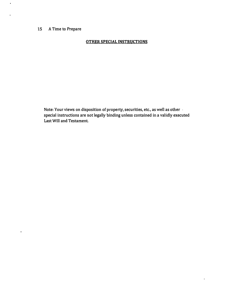$\ddot{\phantom{a}}$ 

 $\bullet$ 

## **OTHER SPECIAL INSTRUCTIONS**

**Note: Your views on disposition of property, securities, etc., as well as other** ! **special instructions are not legally binding unless contained in a validly executed Last Will and Testament.**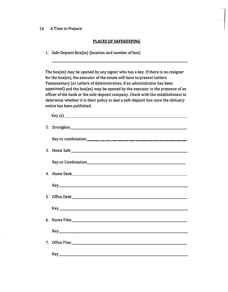#### **PLACES OF SAFEKEEPING**

1. Safe-Deposit Box(es) (location and number of box)

The box(es) may be opened by any signer who has a key. If there is no cosigner for the box(es), the executor of the estate will have to present Letters Testamentary (or Letters of Administration, if an administrator has been appointed) and the box(es) may be opened by the executor in the presence of an officer of the bank or the safe-deposit company. Check with the establishment to determine whether it is their policy to seal a safe-deposit box once the obituary notice has been published.

| Key(s)                                                                                                                                                                                                                              |
|-------------------------------------------------------------------------------------------------------------------------------------------------------------------------------------------------------------------------------------|
|                                                                                                                                                                                                                                     |
|                                                                                                                                                                                                                                     |
| 3. Home Safe <u>experience</u> and the same service of the same service of the same service of the same service of the same service of the same service of the same service of the same service of the same service of the same ser |
|                                                                                                                                                                                                                                     |
|                                                                                                                                                                                                                                     |
|                                                                                                                                                                                                                                     |
|                                                                                                                                                                                                                                     |
|                                                                                                                                                                                                                                     |
|                                                                                                                                                                                                                                     |
|                                                                                                                                                                                                                                     |
|                                                                                                                                                                                                                                     |
|                                                                                                                                                                                                                                     |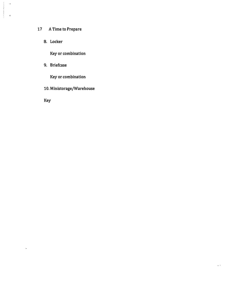- **17 A Time to Prepare** 
	- **8. Locker**

 $\label{eq:3.1} \begin{aligned} \mathcal{L}_{\text{max}}(\mathbf{x},\mathbf{y}) & = \mathcal{L}_{\text{max}}(\mathbf{x},\mathbf{y}) + \mathcal{L}_{\text{max}}(\mathbf{x},\mathbf{y}) \\ & = \mathcal{L}_{\text{max}}(\mathbf{x},\mathbf{y}) + \mathcal{L}_{\text{max}}(\mathbf{x},\mathbf{y}) + \mathcal{L}_{\text{max}}(\mathbf{x},\mathbf{y}) \\ & = \mathcal{L}_{\text{max}}(\mathbf{x},\mathbf{y}) + \mathcal{L}_{\text{max}}(\mathbf{x},\mathbf{y}) + \mathcal{L}_{\text{max}}(\mathbf{x},\$  $\sim$   $\alpha$ 

 $\ddot{\phantom{0}}$ 

**Key or combination** 

9. **Briefcase**

**Key or combination** 

**10. Ministorage/Warehouse**

 $\mathcal{L}^{(1)}$ 

**Key** 

 $\ddot{\phantom{a}}$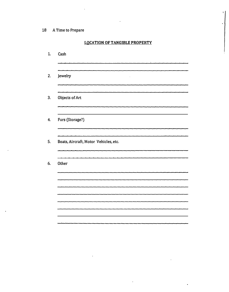$\hat{\boldsymbol{\epsilon}}$ 

 $\ddot{\phantom{a}}$ 

## **LOCATION OF TANGIBLE PROPERTY**

| Jewelry<br>Objects of Art<br>Furs (Storage?)<br>Boats, Aircraft, Motor Vehicles, etc.<br>Other | Cash |
|------------------------------------------------------------------------------------------------|------|
|                                                                                                |      |
|                                                                                                |      |
|                                                                                                |      |
|                                                                                                |      |
|                                                                                                |      |
|                                                                                                |      |
|                                                                                                |      |

 $\overline{a}$ 

 $\ddot{\phantom{1}}$ 

 $\frac{1}{2}$ 

 $\hat{\boldsymbol{\beta}}$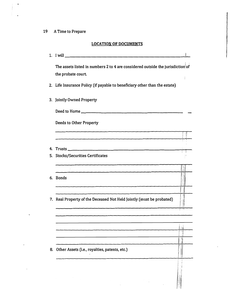## **LOCATION OF DOCUMENTS**

|    | The assets listed in numbers 2 to 4 are considered outside the jurisdiction of<br>the probate court. |     |
|----|------------------------------------------------------------------------------------------------------|-----|
|    | 2. Life Insurance Policy (if payable to beneficiary other than the estate)                           |     |
|    | 3. Jointly Owned Property                                                                            |     |
|    |                                                                                                      |     |
|    | <b>Deeds to Other Property</b>                                                                       |     |
|    |                                                                                                      |     |
|    |                                                                                                      |     |
|    |                                                                                                      |     |
|    | 5. Stocks/Securities Certificates                                                                    |     |
|    |                                                                                                      |     |
|    | 6. Bonds                                                                                             |     |
|    |                                                                                                      |     |
|    | 7. Real Property of the Deceased Not Held Jointly (must be probated)                                 |     |
|    |                                                                                                      |     |
|    |                                                                                                      |     |
|    |                                                                                                      | -99 |
|    |                                                                                                      |     |
|    |                                                                                                      |     |
| 8. | Other Assets (i.e., royalties, patents, etc.)                                                        |     |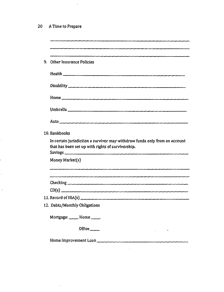$20<sup>2</sup>$ A Time to Prepare

 $\ddot{\phantom{0}}$ 

| <b>Other Insurance Policies</b><br>9.                                                                                           |
|---------------------------------------------------------------------------------------------------------------------------------|
| $Health$                                                                                                                        |
|                                                                                                                                 |
|                                                                                                                                 |
|                                                                                                                                 |
| Auto                                                                                                                            |
| 10. Bankbooks                                                                                                                   |
| In certain jurisdiction a survivor may withdraw funds only from an account<br>that has been set up with rights of survivorship. |
| Money Market(s)                                                                                                                 |
|                                                                                                                                 |
|                                                                                                                                 |
| CD(s)                                                                                                                           |
|                                                                                                                                 |
| 12. Debts/Monthly Obligations                                                                                                   |
| Mortgage: _____ Home _____                                                                                                      |
| Office                                                                                                                          |
|                                                                                                                                 |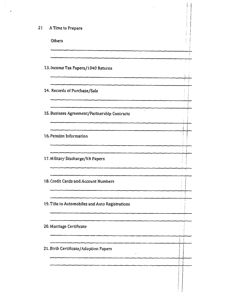| 21 |  | A Time to Prepare |
|----|--|-------------------|
|----|--|-------------------|

| Others                                          |  |
|-------------------------------------------------|--|
|                                                 |  |
| 13. Income Tax Papers/1040 Returns              |  |
|                                                 |  |
| 14. Records of Purchase/Sale                    |  |
| 15. Business Agreement/Partnership Contracts    |  |
| 16. Pension Information                         |  |
| 17. Military Discharge/VA Papers                |  |
| 18. Credit Cards and Account Numbers            |  |
| 19. Title to Automobiles and Auto Registrations |  |
| 20. Marriage Certificate                        |  |
| 21. Birth Certificate/Adoption Papers           |  |
|                                                 |  |
|                                                 |  |

 $\sim$  .

 $\ddot{\phantom{a}}$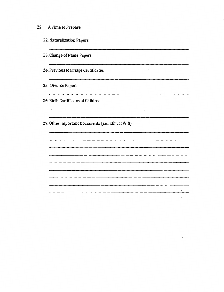22. Naturalization Papers

23. Change of Name Papers

24. Previous Marriage Certificates

25. Divorce Papers

26. Birth Certificates of Children

27. Other Important Documents (i.e., Ethical Will)

 $\sim$ 

the contract of the contract of the contract of the contract of the contract of

 $\sim$   $\sim$  $\ddot{\phantom{a}}$ 

 $\mathbb{R}^2$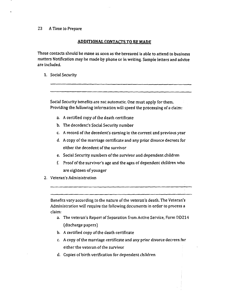#### **ADDITIONAL CONTACTS TO BE MADE**

These contacts should be mane as soon as the bereaved is able to attend to business matters Notification may be made by phone or in writing. Sample letters and advice are included.

1. Social Security

Social Security benefits are not automatic. One must apply for them. Providing the following information will speed the processing of a claim:

- a. A certified copy of the death certificate
- b. The decedent's Social Security number
- c. A record of the decedent's earning in the current and previous year
- d. A copy of the marriage certificate and any prior divorce decrees for either the decedent of the survivor
- e. Social Security numbers of the survivor and dependent children
- f. Proof of the survivor's age and the ages of dependent children who are eighteen of younger
- 2. Veteran's Administration

Benefits vary according to the nature of the veteran's death. The Veteran's Administration will require the following documents in order to process a claim:

- a. The veteran's Report of Separation from Active Service, Form DD214 (discharge papers)
- b. A certified copy of the death certificate
- c. A copy of the marriage certificate and any prior divorce decrees for either the veteran of the survivor
- d. Copies of birth verification for dependent children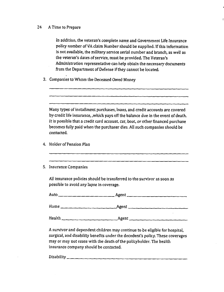In addition, the veteran's complete name and Government Life Insurance policy number of VA claim Number should be supplied. If this information is not available, the military service serial number and branch, as well as the veteran's dates of service, must be provided. The Veteran's Administration representative can help obtain the necessary documents from the Department of Defense if they cannot be located.

3. Companies to Whom the Deceased Owed Money

Many types of installment purchases, loans, and credit accounts are covered by credit life insurance, , which pays off the balance due in the event of death. It is possible that a credit card account, car, boat, or other financed purchase becomes fully paid when the purchaser dies. All such companies should be contacted.

- 4. Holder of Pension Plan
- 5. Insurance Companies

All insurance policies should be transferred to the survivor as soon as possible to avoid any lapse in coverage.

| Auto<br><u> 1980 - Johann Harry Harry Harry Harry Harry Harry Harry Harry Harry Harry Harry Harry Harry Harry Harry Harry Harry Harry Harry Harry Harry Harry Harry Harry Harry Harry Harry Harry Harry Harry Harry Harry Harry Harry Ha</u> |                                                                                                                                                                                                                                                |
|----------------------------------------------------------------------------------------------------------------------------------------------------------------------------------------------------------------------------------------------|------------------------------------------------------------------------------------------------------------------------------------------------------------------------------------------------------------------------------------------------|
| Home<br>the contract of the contract of the contract of the contract of the contract of                                                                                                                                                      | _Agent ______________                                                                                                                                                                                                                          |
| Health                                                                                                                                                                                                                                       | Agent_<br><u>in the company of the company of the company of the company of the company of the company of the company of the company of the company of the company of the company of the company of the company of the company of the comp</u> |

A survivor and dependent children may continue to be eligible for hospital. surgical, and disability benefits under the decedent's policy. These coverages may or may not cease with the death of the policyholder. The health insurance company should be contacted.

Disability and the contract of the contract of the contract of the contract of the contract of the contract of the contract of the contract of the contract of the contract of the contract of the contract of the contract of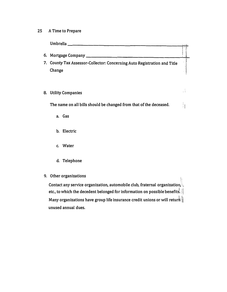|        | 6. Mortgage Company ____________                                         |               |  |
|--------|--------------------------------------------------------------------------|---------------|--|
| Change | 7. County Tax Assessor-Collector: Concerning Auto Registration and Title |               |  |
|        | 8. Utility Companies                                                     | $\frac{1}{1}$ |  |
|        | The name on all bills should be changed from that of the deceased.       | ļ.            |  |
|        | a. Gas                                                                   |               |  |
|        | b. Electric                                                              |               |  |
|        | c. Water                                                                 |               |  |
|        | d. Telephone                                                             |               |  |

## 9. Other organizations

Contact any service organization, automobile club, fraternal organization, etc., to which the decedent belonged for information on possible benefits.  $\|\cdot\|$ Many organizations have group life insurance credit unions or will return unused annual dues.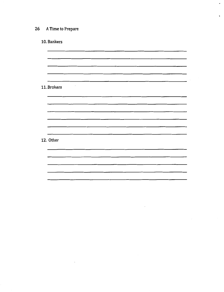| 26 | A Time to Prepare |
|----|-------------------|
|    | 10. Bankers       |
|    |                   |
|    |                   |
|    | 11. Brokers       |
|    |                   |
|    |                   |
|    |                   |
|    | 12. Other         |
|    |                   |
|    |                   |
|    |                   |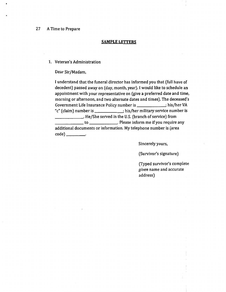#### **SAMPLE LETTERS**

#### 1. Veteran's Administration

Dear Sir/Madam,

I understand that the funeral director has informed you that (full have of decedent) passed away on (day, month, year). I would like to schedule an appointment with your representative on (give a preferred date and time, morning or afternoon, and two alternate dates and times). The deceased's Government Life Insurance Policy number is \_\_\_\_\_\_\_\_\_\_\_\_\_\_; his/her VA "c" (claim) number is \_\_\_\_\_\_\_\_\_\_\_\_\_; his/her military service number is He/She served in the U.S. (branch of service) from to Please inform me if you require any additional documents or information. My telephone number is (area 

Sincerely yours,

(Survivor's signature)

(Typed survivor's complete given name and accurate address)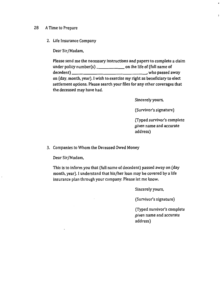#### 2. Life Insurance Company

Dear Sir/Madam,

Please send me the necessary instructions and papers to complete a claim under policy number(s) \_\_\_\_\_\_\_\_\_\_\_\_\_\_\_\_ on the life of (full name of decedent) and the control of the control of the control of the control of the control of the control of the control of the control of the control of the control of the control of the control of the control of the control o who passed away on (day, month, year). I wish to exercise my right as beneficiary to elect settlement options. Please search your files for any other coverages that the deceased may have had.

Sincerely yours,

(Survivor's signature)

(Typed survivor's complete given name and accurate address)

 $\cdot$ 

3. Companies to Whom the Deceased Owed Money

Dear Sir/Madam,

 $\overline{a}$ 

This is to inform you that (full name of decedent) passed away on (day month, year). I understand that his/her loan may be covered by a life insurance plan through your company. Please let me know.

Sincerely yours,

(Survivor's signature)

(Typed survivor's complete given name and accurate address)